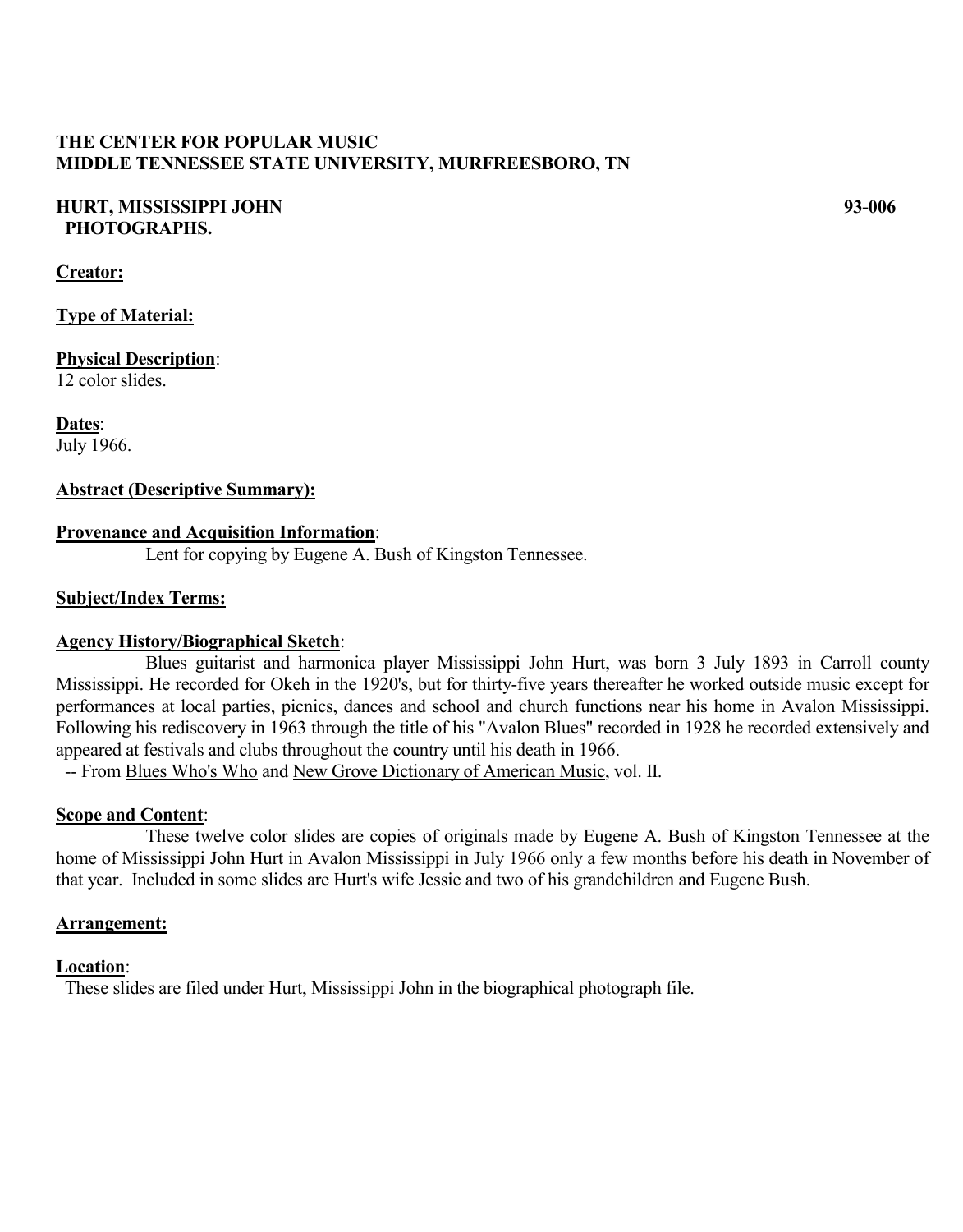# **THE CENTER FOR POPULAR MUSIC MIDDLE TENNESSEE STATE UNIVERSITY, MURFREESBORO, TN**

## **HURT, MISSISSIPPI JOHN 93-006 PHOTOGRAPHS.**

## **Creator:**

**Type of Material:**

**Physical Description**: 12 color slides.

**Dates**: July 1966.

# **Abstract (Descriptive Summary):**

## **Provenance and Acquisition Information**:

Lent for copying by Eugene A. Bush of Kingston Tennessee.

## **Subject/Index Terms:**

#### **Agency History/Biographical Sketch**:

Blues guitarist and harmonica player Mississippi John Hurt, was born 3 July 1893 in Carroll county Mississippi. He recorded for Okeh in the 1920's, but for thirty-five years thereafter he worked outside music except for performances at local parties, picnics, dances and school and church functions near his home in Avalon Mississippi. Following his rediscovery in 1963 through the title of his "Avalon Blues" recorded in 1928 he recorded extensively and appeared at festivals and clubs throughout the country until his death in 1966.

-- From Blues Who's Who and New Grove Dictionary of American Music, vol. II.

# **Scope and Content**:

These twelve color slides are copies of originals made by Eugene A. Bush of Kingston Tennessee at the home of Mississippi John Hurt in Avalon Mississippi in July 1966 only a few months before his death in November of that year. Included in some slides are Hurt's wife Jessie and two of his grandchildren and Eugene Bush.

#### **Arrangement:**

#### **Location**:

These slides are filed under Hurt, Mississippi John in the biographical photograph file.